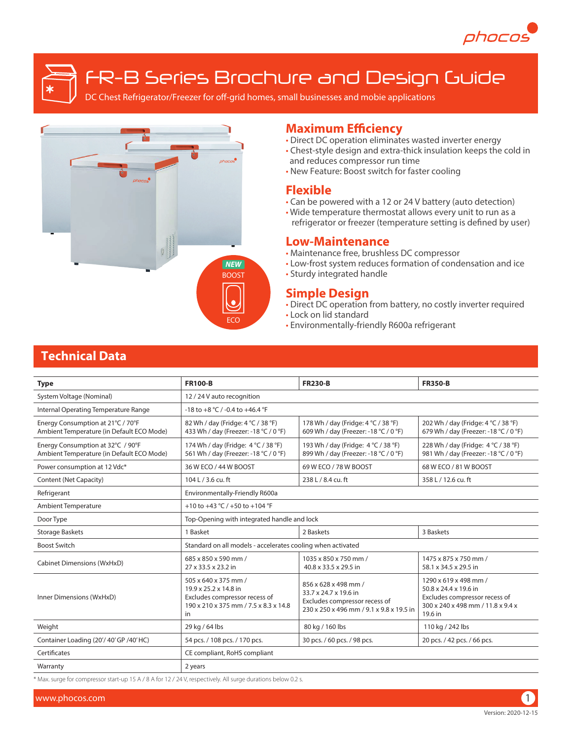

FR-B Series Brochure and Design Guide

DC Chest Refrigerator/Freezer for off-grid homes, small businesses and mobie applications



## **Maximum Efficiency**

- Direct DC operation eliminates wasted inverter energy
- Chest-style design and extra-thick insulation keeps the cold in and reduces compressor run time
- New Feature: Boost switch for faster cooling

## **Flexible**

- Can be powered with a 12 or 24 V battery (auto detection)
- Wide temperature thermostat allows every unit to run as a refrigerator or freezer (temperature setting is defined by user)

## **Low-Maintenance**

- Maintenance free, brushless DC compressor
- Low-frost system reduces formation of condensation and ice
- Sturdy integrated handle

#### **Simple Design**

- Direct DC operation from battery, no costly inverter required
- Lock on lid standard
- Environmentally-friendly R600a refrigerant

## **Technical Data**

| <b>Type</b>                                                                    | <b>FR100-B</b>                                                                                                                | <b>FR230-B</b>                                                               | <b>FR350-B</b>                                                                                                                  |  |  |  |  |  |  |  |
|--------------------------------------------------------------------------------|-------------------------------------------------------------------------------------------------------------------------------|------------------------------------------------------------------------------|---------------------------------------------------------------------------------------------------------------------------------|--|--|--|--|--|--|--|
| System Voltage (Nominal)                                                       | 12 / 24 V auto recognition                                                                                                    |                                                                              |                                                                                                                                 |  |  |  |  |  |  |  |
| Internal Operating Temperature Range                                           | -18 to +8 °C / -0.4 to +46.4 °F                                                                                               |                                                                              |                                                                                                                                 |  |  |  |  |  |  |  |
| Energy Consumption at 21°C / 70°F<br>Ambient Temperature (in Default ECO Mode) | 82 Wh / day (Fridge: 4 °C / 38 °F)<br>433 Wh / day (Freezer: -18 °C / 0 °F)                                                   | 178 Wh / day (Fridge: 4 °C / 38 °F)<br>609 Wh / day (Freezer: -18 °C / 0 °F) | 202 Wh / day (Fridge: 4 °C / 38 °F)<br>679 Wh / day (Freezer: -18 °C / 0 °F)                                                    |  |  |  |  |  |  |  |
| Energy Consumption at 32°C / 90°F<br>Ambient Temperature (in Default ECO Mode) | 174 Wh / day (Fridge: 4 °C / 38 °F)<br>561 Wh / day (Freezer: -18 °C / 0 °F)                                                  | 193 Wh / day (Fridge: 4 °C / 38 °F)<br>899 Wh / day (Freezer: -18 °C / 0 °F) | 228 Wh / day (Fridge: 4 °C / 38 °F)<br>981 Wh / day (Freezer: -18 °C / 0 °F)                                                    |  |  |  |  |  |  |  |
| Power consumption at 12 Vdc*                                                   | 36 W ECO / 44 W BOOST                                                                                                         | 69 W ECO / 78 W BOOST                                                        | 68 W ECO / 81 W BOOST                                                                                                           |  |  |  |  |  |  |  |
| Content (Net Capacity)                                                         | 104 L / 3.6 cu. ft                                                                                                            | 238 L / 8.4 cu. ft                                                           | 358 L / 12.6 cu. ft                                                                                                             |  |  |  |  |  |  |  |
| Refrigerant                                                                    | Environmentally-Friendly R600a                                                                                                |                                                                              |                                                                                                                                 |  |  |  |  |  |  |  |
| <b>Ambient Temperature</b>                                                     | +10 to +43 °C / +50 to +104 °F                                                                                                |                                                                              |                                                                                                                                 |  |  |  |  |  |  |  |
| Door Type                                                                      | Top-Opening with integrated handle and lock                                                                                   |                                                                              |                                                                                                                                 |  |  |  |  |  |  |  |
| <b>Storage Baskets</b>                                                         | 1 Basket                                                                                                                      | 2 Baskets                                                                    | 3 Baskets                                                                                                                       |  |  |  |  |  |  |  |
| <b>Boost Switch</b>                                                            | Standard on all models - accelerates cooling when activated                                                                   |                                                                              |                                                                                                                                 |  |  |  |  |  |  |  |
| Cabinet Dimensions (WxHxD)                                                     | 685 x 850 x 590 mm /<br>27 x 33.5 x 23.2 in                                                                                   | 1035 x 850 x 750 mm /<br>40.8 x 33.5 x 29.5 in                               | 1475 x 875 x 750 mm /<br>58.1 x 34.5 x 29.5 in                                                                                  |  |  |  |  |  |  |  |
| Inner Dimensions (WxHxD)                                                       | 505 x 640 x 375 mm /<br>19.9 x 25.2 x 14.8 in<br>Excludes compressor recess of<br>190 x 210 x 375 mm / 7.5 x 8.3 x 14.8<br>in |                                                                              | 1290 x 619 x 498 mm /<br>50.8 x 24.4 x 19.6 in<br>Excludes compressor recess of<br>300 x 240 x 498 mm / 11.8 x 9.4 x<br>19.6 in |  |  |  |  |  |  |  |
| Weight                                                                         | 29 kg / 64 lbs                                                                                                                | 80 kg / 160 lbs                                                              | 110 kg / 242 lbs                                                                                                                |  |  |  |  |  |  |  |
| Container Loading (20'/40'GP/40'HC)                                            | 54 pcs. / 108 pcs. / 170 pcs.                                                                                                 | 30 pcs. / 60 pcs. / 98 pcs.                                                  | 20 pcs. / 42 pcs. / 66 pcs.                                                                                                     |  |  |  |  |  |  |  |
| Certificates                                                                   | CE compliant, RoHS compliant                                                                                                  |                                                                              |                                                                                                                                 |  |  |  |  |  |  |  |
| Warranty                                                                       | 2 years                                                                                                                       |                                                                              |                                                                                                                                 |  |  |  |  |  |  |  |

\* Max. surge for compressor start-up 15 A / 8 A for 12 / 24 V, respectively. All surge durations below 0.2 s.